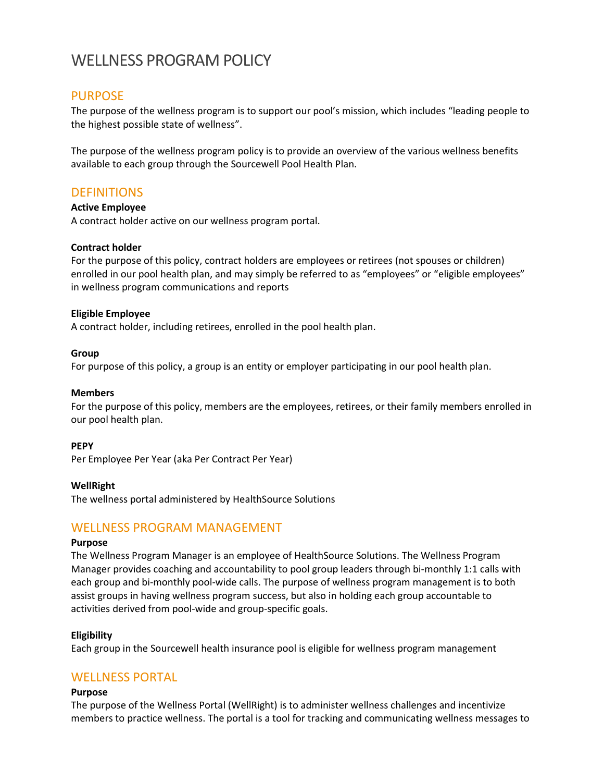# WELLNESS PROGRAM POLICY

# PURPOSE

The purpose of the wellness program is to support our pool's mission, which includes "leading people to the highest possible state of wellness".

The purpose of the wellness program policy is to provide an overview of the various wellness benefits available to each group through the Sourcewell Pool Health Plan.

# **DEFINITIONS**

# Active Employee

A contract holder active on our wellness program portal.

# Contract holder

For the purpose of this policy, contract holders are employees or retirees (not spouses or children) enrolled in our pool health plan, and may simply be referred to as "employees" or "eligible employees" in wellness program communications and reports

# Eligible Employee

A contract holder, including retirees, enrolled in the pool health plan.

# Group

For purpose of this policy, a group is an entity or employer participating in our pool health plan.

# Members

For the purpose of this policy, members are the employees, retirees, or their family members enrolled in our pool health plan.

# **PEPY**

Per Employee Per Year (aka Per Contract Per Year)

# WellRight

The wellness portal administered by HealthSource Solutions

# WELLNESS PROGRAM MANAGEMENT

# Purpose

The Wellness Program Manager is an employee of HealthSource Solutions. The Wellness Program Manager provides coaching and accountability to pool group leaders through bi-monthly 1:1 calls with each group and bi-monthly pool-wide calls. The purpose of wellness program management is to both assist groups in having wellness program success, but also in holding each group accountable to activities derived from pool-wide and group-specific goals.

# Eligibility

Each group in the Sourcewell health insurance pool is eligible for wellness program management

# WELLNESS PORTAL

# Purpose

The purpose of the Wellness Portal (WellRight) is to administer wellness challenges and incentivize members to practice wellness. The portal is a tool for tracking and communicating wellness messages to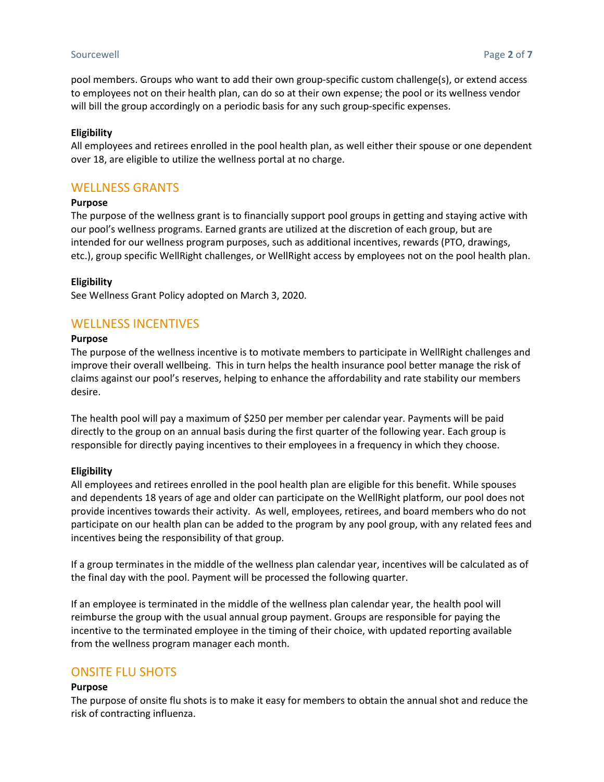### Sourcewell **Exercise 2 of 7** and 2 of 7 and 2 of 7 and 2 of 7 and 2 of 7 and 2 of 7 and 2 of 7 and 2 of 7 and 2 of 7 and 2 of 7 and 2 of 7 and 2 of 7 and 2 of 7 and 2 of 7 and 2 of 7 and 2 of 7 and 2 of 7 and 2 of 7 and 2

pool members. Groups who want to add their own group-specific custom challenge(s), or extend access to employees not on their health plan, can do so at their own expense; the pool or its wellness vendor will bill the group accordingly on a periodic basis for any such group-specific expenses.

### Eligibility

All employees and retirees enrolled in the pool health plan, as well either their spouse or one dependent over 18, are eligible to utilize the wellness portal at no charge.

# WELLNESS GRANTS

#### Purpose

The purpose of the wellness grant is to financially support pool groups in getting and staying active with our pool's wellness programs. Earned grants are utilized at the discretion of each group, but are intended for our wellness program purposes, such as additional incentives, rewards (PTO, drawings, etc.), group specific WellRight challenges, or WellRight access by employees not on the pool health plan.

### **Eligibility**

See Wellness Grant Policy adopted on March 3, 2020.

# WELLNESS INCENTIVES

#### Purpose

The purpose of the wellness incentive is to motivate members to participate in WellRight challenges and improve their overall wellbeing. This in turn helps the health insurance pool better manage the risk of claims against our pool's reserves, helping to enhance the affordability and rate stability our members desire.

The health pool will pay a maximum of \$250 per member per calendar year. Payments will be paid directly to the group on an annual basis during the first quarter of the following year. Each group is responsible for directly paying incentives to their employees in a frequency in which they choose.

### Eligibility

All employees and retirees enrolled in the pool health plan are eligible for this benefit. While spouses and dependents 18 years of age and older can participate on the WellRight platform, our pool does not provide incentives towards their activity. As well, employees, retirees, and board members who do not participate on our health plan can be added to the program by any pool group, with any related fees and incentives being the responsibility of that group.

If a group terminates in the middle of the wellness plan calendar year, incentives will be calculated as of the final day with the pool. Payment will be processed the following quarter.

If an employee is terminated in the middle of the wellness plan calendar year, the health pool will reimburse the group with the usual annual group payment. Groups are responsible for paying the incentive to the terminated employee in the timing of their choice, with updated reporting available from the wellness program manager each month.

# ONSITE FLU SHOTS

#### Purpose

The purpose of onsite flu shots is to make it easy for members to obtain the annual shot and reduce the risk of contracting influenza.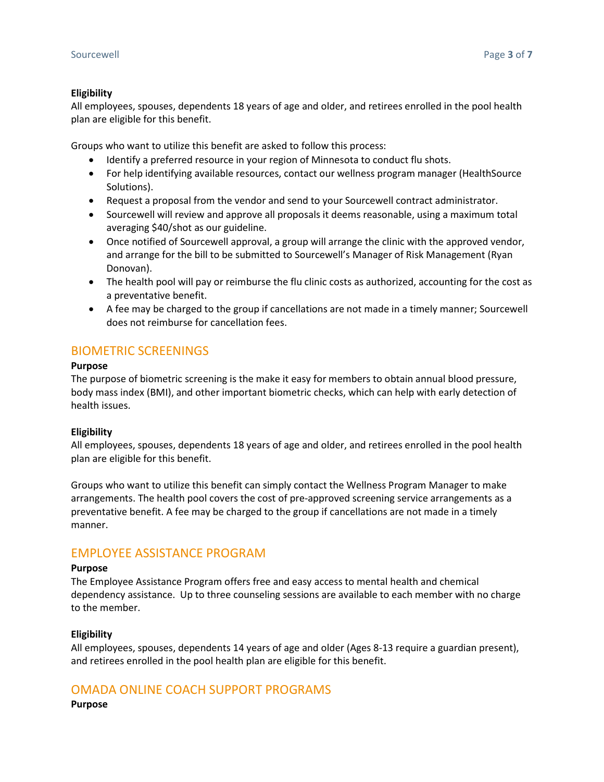### Eligibility

All employees, spouses, dependents 18 years of age and older, and retirees enrolled in the pool health plan are eligible for this benefit.

Groups who want to utilize this benefit are asked to follow this process:

- Identify a preferred resource in your region of Minnesota to conduct flu shots.
- For help identifying available resources, contact our wellness program manager (HealthSource Solutions).
- Request a proposal from the vendor and send to your Sourcewell contract administrator.
- Sourcewell will review and approve all proposals it deems reasonable, using a maximum total averaging \$40/shot as our guideline.
- Once notified of Sourcewell approval, a group will arrange the clinic with the approved vendor, and arrange for the bill to be submitted to Sourcewell's Manager of Risk Management (Ryan Donovan).
- The health pool will pay or reimburse the flu clinic costs as authorized, accounting for the cost as a preventative benefit.
- A fee may be charged to the group if cancellations are not made in a timely manner; Sourcewell does not reimburse for cancellation fees.

# BIOMETRIC SCREENINGS

### Purpose

The purpose of biometric screening is the make it easy for members to obtain annual blood pressure, body mass index (BMI), and other important biometric checks, which can help with early detection of health issues.

# Eligibility

All employees, spouses, dependents 18 years of age and older, and retirees enrolled in the pool health plan are eligible for this benefit.

Groups who want to utilize this benefit can simply contact the Wellness Program Manager to make arrangements. The health pool covers the cost of pre-approved screening service arrangements as a preventative benefit. A fee may be charged to the group if cancellations are not made in a timely manner.

# EMPLOYEE ASSISTANCE PROGRAM

### Purpose

The Employee Assistance Program offers free and easy access to mental health and chemical dependency assistance. Up to three counseling sessions are available to each member with no charge to the member.

# Eligibility

All employees, spouses, dependents 14 years of age and older (Ages 8-13 require a guardian present), and retirees enrolled in the pool health plan are eligible for this benefit.

# OMADA ONLINE COACH SUPPORT PROGRAMS

### Purpose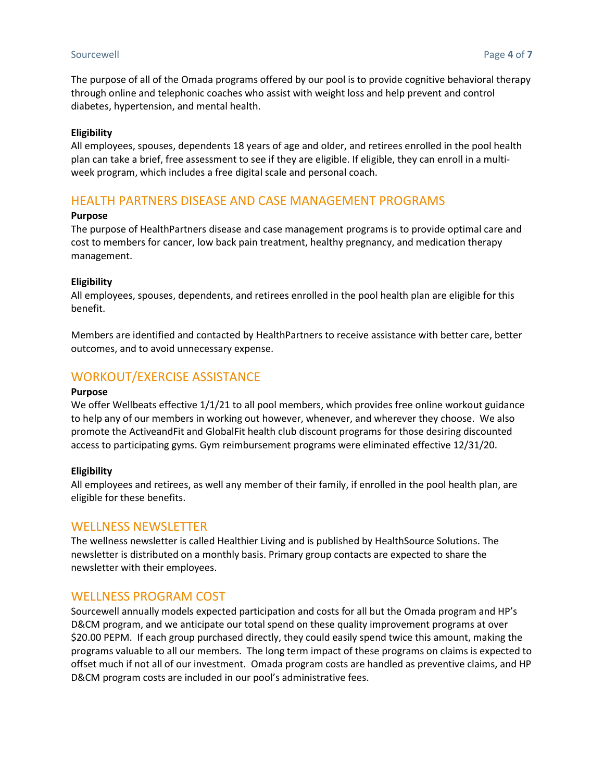### Sourcewell **Exercise 2** of 7

The purpose of all of the Omada programs offered by our pool is to provide cognitive behavioral therapy through online and telephonic coaches who assist with weight loss and help prevent and control diabetes, hypertension, and mental health.

#### Eligibility

All employees, spouses, dependents 18 years of age and older, and retirees enrolled in the pool health plan can take a brief, free assessment to see if they are eligible. If eligible, they can enroll in a multiweek program, which includes a free digital scale and personal coach.

# HEALTH PARTNERS DISEASE AND CASE MANAGEMENT PROGRAMS

#### Purpose

The purpose of HealthPartners disease and case management programs is to provide optimal care and cost to members for cancer, low back pain treatment, healthy pregnancy, and medication therapy management.

#### **Eligibility**

All employees, spouses, dependents, and retirees enrolled in the pool health plan are eligible for this benefit.

Members are identified and contacted by HealthPartners to receive assistance with better care, better outcomes, and to avoid unnecessary expense.

# WORKOUT/EXERCISE ASSISTANCE

#### Purpose

We offer Wellbeats effective 1/1/21 to all pool members, which provides free online workout guidance to help any of our members in working out however, whenever, and wherever they choose. We also promote the ActiveandFit and GlobalFit health club discount programs for those desiring discounted access to participating gyms. Gym reimbursement programs were eliminated effective 12/31/20.

### Eligibility

All employees and retirees, as well any member of their family, if enrolled in the pool health plan, are eligible for these benefits.

### WELLNESS NEWSLETTER

The wellness newsletter is called Healthier Living and is published by HealthSource Solutions. The newsletter is distributed on a monthly basis. Primary group contacts are expected to share the newsletter with their employees.

# WELLNESS PROGRAM COST

Sourcewell annually models expected participation and costs for all but the Omada program and HP's D&CM program, and we anticipate our total spend on these quality improvement programs at over \$20.00 PEPM. If each group purchased directly, they could easily spend twice this amount, making the programs valuable to all our members. The long term impact of these programs on claims is expected to offset much if not all of our investment. Omada program costs are handled as preventive claims, and HP D&CM program costs are included in our pool's administrative fees.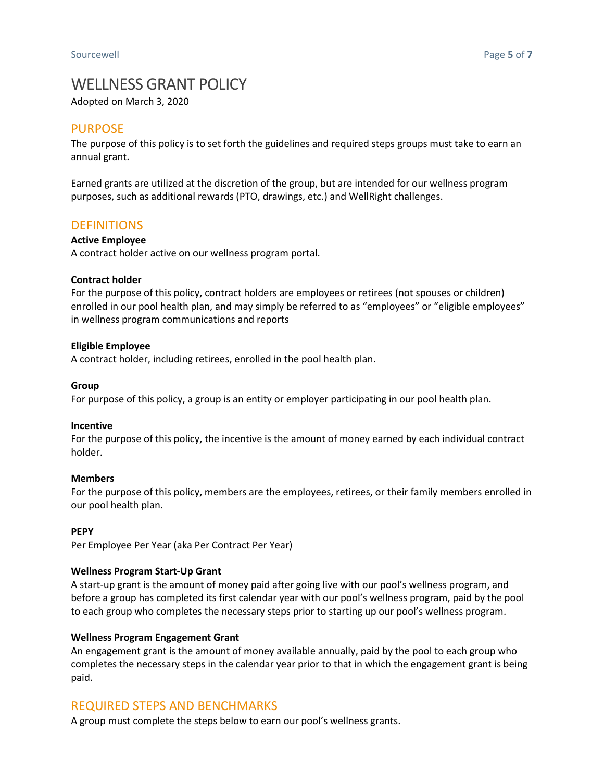# WELLNESS GRANT POLICY

Adopted on March 3, 2020

# PURPOSE

The purpose of this policy is to set forth the guidelines and required steps groups must take to earn an annual grant.

Earned grants are utilized at the discretion of the group, but are intended for our wellness program purposes, such as additional rewards (PTO, drawings, etc.) and WellRight challenges.

# **DEFINITIONS**

# Active Employee

A contract holder active on our wellness program portal.

### Contract holder

For the purpose of this policy, contract holders are employees or retirees (not spouses or children) enrolled in our pool health plan, and may simply be referred to as "employees" or "eligible employees" in wellness program communications and reports

### Eligible Employee

A contract holder, including retirees, enrolled in the pool health plan.

### Group

For purpose of this policy, a group is an entity or employer participating in our pool health plan.

### Incentive

For the purpose of this policy, the incentive is the amount of money earned by each individual contract holder.

### Members

For the purpose of this policy, members are the employees, retirees, or their family members enrolled in our pool health plan.

### **PEPY**

Per Employee Per Year (aka Per Contract Per Year)

### Wellness Program Start-Up Grant

A start-up grant is the amount of money paid after going live with our pool's wellness program, and before a group has completed its first calendar year with our pool's wellness program, paid by the pool to each group who completes the necessary steps prior to starting up our pool's wellness program.

### Wellness Program Engagement Grant

An engagement grant is the amount of money available annually, paid by the pool to each group who completes the necessary steps in the calendar year prior to that in which the engagement grant is being paid.

# REQUIRED STEPS AND BENCHMARKS

A group must complete the steps below to earn our pool's wellness grants.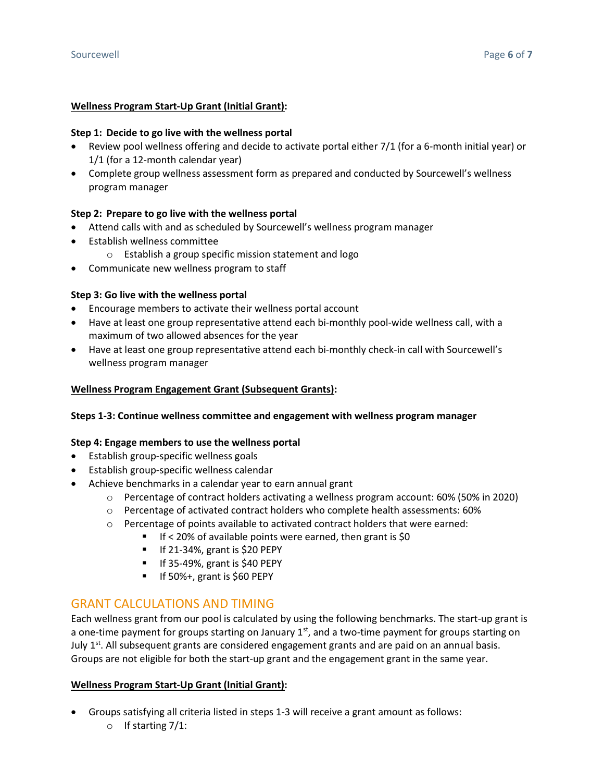# Wellness Program Start-Up Grant (Initial Grant):

# Step 1: Decide to go live with the wellness portal

- Review pool wellness offering and decide to activate portal either 7/1 (for a 6-month initial year) or 1/1 (for a 12-month calendar year)
- Complete group wellness assessment form as prepared and conducted by Sourcewell's wellness program manager

# Step 2: Prepare to go live with the wellness portal

- Attend calls with and as scheduled by Sourcewell's wellness program manager
- Establish wellness committee
	- o Establish a group specific mission statement and logo
- Communicate new wellness program to staff

### Step 3: Go live with the wellness portal

- Encourage members to activate their wellness portal account
- Have at least one group representative attend each bi-monthly pool-wide wellness call, with a maximum of two allowed absences for the year
- Have at least one group representative attend each bi-monthly check-in call with Sourcewell's wellness program manager

### Wellness Program Engagement Grant (Subsequent Grants):

### Steps 1-3: Continue wellness committee and engagement with wellness program manager

### Step 4: Engage members to use the wellness portal

- Establish group-specific wellness goals
- Establish group-specific wellness calendar
- Achieve benchmarks in a calendar year to earn annual grant
	- $\circ$  Percentage of contract holders activating a wellness program account: 60% (50% in 2020)
	- o Percentage of activated contract holders who complete health assessments: 60%
	- $\circ$  Percentage of points available to activated contract holders that were earned:
		- If < 20% of available points were earned, then grant is \$0
			- $\blacksquare$  If 21-34%, grant is \$20 PEPY
			- $\blacksquare$  If 35-49%, grant is \$40 PEPY
		- $II$  If 50%+, grant is \$60 PEPY

# GRANT CALCULATIONS AND TIMING

Each wellness grant from our pool is calculated by using the following benchmarks. The start-up grant is a one-time payment for groups starting on January  $1<sup>st</sup>$ , and a two-time payment for groups starting on July  $1<sup>st</sup>$ . All subsequent grants are considered engagement grants and are paid on an annual basis. Groups are not eligible for both the start-up grant and the engagement grant in the same year.

# Wellness Program Start-Up Grant (Initial Grant):

- Groups satisfying all criteria listed in steps 1-3 will receive a grant amount as follows:
	- $\circ$  If starting 7/1: